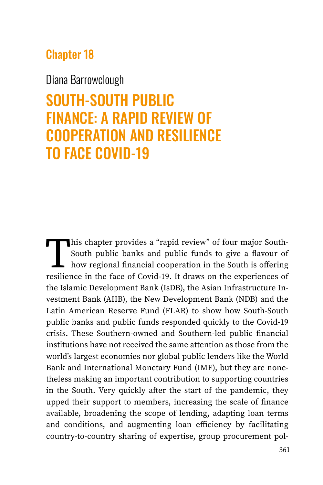# Chapter 18

### Diana Barrowclough

# SOUTH-SOUTH PUBLIC FINANCE: A RAPID REVIEW OF COOPERATION AND RESILIENCE TO FACE COVID-19

This chapter provides a "rapid review" of four major South-<br>South public banks and public funds to give a flavour of<br>how regional financial cooperation in the South is offering<br>resilience in the face of Covid-19. It draws South public banks and public funds to give a flavour of how regional financial cooperation in the South is offering resilience in the face of Covid-19. It draws on the experiences of the Islamic Development Bank (IsDB), the Asian Infrastructure Investment Bank (AIIB), the New Development Bank (NDB) and the Latin American Reserve Fund (FLAR) to show how South-South public banks and public funds responded quickly to the Covid-19 crisis. These Southern-owned and Southern-led public financial institutions have not received the same attention as those from the world's largest economies nor global public lenders like the World Bank and International Monetary Fund (IMF), but they are nonetheless making an important contribution to supporting countries in the South. Very quickly after the start of the pandemic, they upped their support to members, increasing the scale of finance available, broadening the scope of lending, adapting loan terms and conditions, and augmenting loan efficiency by facilitating country-to-country sharing of expertise, group procurement pol-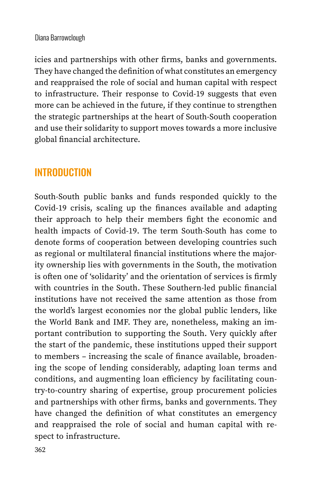#### Diana Barrowclough

icies and partnerships with other firms, banks and governments. They have changed the definition of what constitutes an emergency and reappraised the role of social and human capital with respect to infrastructure. Their response to Covid-19 suggests that even more can be achieved in the future, if they continue to strengthen the strategic partnerships at the heart of South-South cooperation and use their solidarity to support moves towards a more inclusive global financial architecture.

### **INTRODUCTION**

South-South public banks and funds responded quickly to the Covid-19 crisis, scaling up the finances available and adapting their approach to help their members fight the economic and health impacts of Covid-19. The term South-South has come to denote forms of cooperation between developing countries such as regional or multilateral financial institutions where the majority ownership lies with governments in the South, the motivation is often one of 'solidarity' and the orientation of services is firmly with countries in the South. These Southern-led public financial institutions have not received the same attention as those from the world's largest economies nor the global public lenders, like the World Bank and IMF. They are, nonetheless, making an important contribution to supporting the South. Very quickly after the start of the pandemic, these institutions upped their support to members – increasing the scale of finance available, broadening the scope of lending considerably, adapting loan terms and conditions, and augmenting loan efficiency by facilitating country-to-country sharing of expertise, group procurement policies and partnerships with other firms, banks and governments. They have changed the definition of what constitutes an emergency and reappraised the role of social and human capital with respect to infrastructure.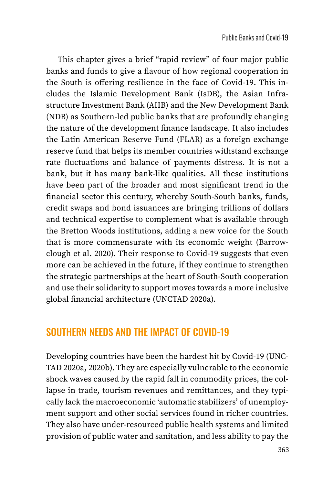This chapter gives a brief "rapid review" of four major public banks and funds to give a flavour of how regional cooperation in the South is offering resilience in the face of Covid-19. This includes the Islamic Development Bank (IsDB), the Asian Infrastructure Investment Bank (AIIB) and the New Development Bank (NDB) as Southern-led public banks that are profoundly changing the nature of the development finance landscape. It also includes the Latin American Reserve Fund (FLAR) as a foreign exchange reserve fund that helps its member countries withstand exchange rate fluctuations and balance of payments distress. It is not a bank, but it has many bank-like qualities. All these institutions have been part of the broader and most significant trend in the financial sector this century, whereby South-South banks, funds, credit swaps and bond issuances are bringing trillions of dollars and technical expertise to complement what is available through the Bretton Woods institutions, adding a new voice for the South that is more commensurate with its economic weight (Barrowclough et al. 2020). Their response to Covid-19 suggests that even more can be achieved in the future, if they continue to strengthen the strategic partnerships at the heart of South-South cooperation and use their solidarity to support moves towards a more inclusive global financial architecture (UNCTAD 2020a).

### SOUTHERN NEEDS AND THE IMPACT OF COVID-19

Developing countries have been the hardest hit by Covid-19 (UNC-TAD 2020a, 2020b). They are especially vulnerable to the economic shock waves caused by the rapid fall in commodity prices, the collapse in trade, tourism revenues and remittances, and they typically lack the macroeconomic 'automatic stabilizers' of unemployment support and other social services found in richer countries. They also have under-resourced public health systems and limited provision of public water and sanitation, and less ability to pay the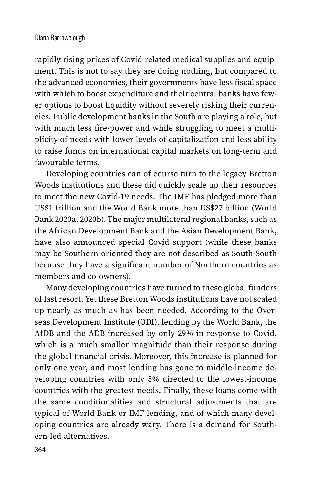#### Diana Barrowclough

rapidly rising prices of Covid-related medical supplies and equipment. This is not to say they are doing nothing, but compared to the advanced economies, their governments have less fiscal space with which to boost expenditure and their central banks have fewer options to boost liquidity without severely risking their currencies. Public development banks in the South are playing a role, but with much less fire-power and while struggling to meet a multiplicity of needs with lower levels of capitalization and less ability to raise funds on international capital markets on long-term and favourable terms.

Developing countries can of course turn to the legacy Bretton Woods institutions and these did quickly scale up their resources to meet the new Covid-19 needs. The IMF has pledged more than US\$1 trillion and the World Bank more than US\$27 billion (World Bank 2020a, 2020b). The major multilateral regional banks, such as the African Development Bank and the Asian Development Bank, have also announced special Covid support (while these banks may be Southern-oriented they are not described as South-South because they have a significant number of Northern countries as members and co-owners).

Many developing countries have turned to these global funders of last resort. Yet these Bretton Woods institutions have not scaled up nearly as much as has been needed. According to the Overseas Development Institute (ODI), lending by the World Bank, the AfDB and the ADB increased by only 29% in response to Covid, which is a much smaller magnitude than their response during the global financial crisis. Moreover, this increase is planned for only one year, and most lending has gone to middle-income developing countries with only 5% directed to the lowest-income countries with the greatest needs. Finally, these loans come with the same conditionalities and structural adjustments that are typical of World Bank or IMF lending, and of which many developing countries are already wary. There is a demand for Southern-led alternatives.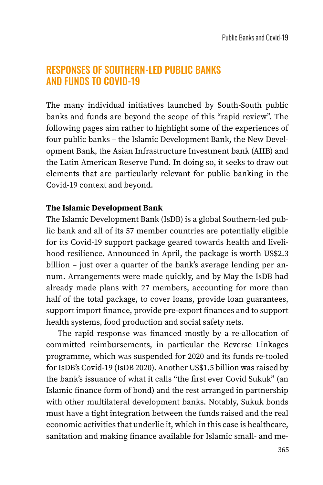### RESPONSES OF SOUTHERN-LED PUBLIC BANKS AND FUNDS TO COVID-19

The many individual initiatives launched by South-South public banks and funds are beyond the scope of this "rapid review". The following pages aim rather to highlight some of the experiences of four public banks – the Islamic Development Bank, the New Development Bank, the Asian Infrastructure Investment bank (AIIB) and the Latin American Reserve Fund. In doing so, it seeks to draw out elements that are particularly relevant for public banking in the Covid-19 context and beyond.

#### **The Islamic Development Bank**

The Islamic Development Bank (IsDB) is a global Southern-led public bank and all of its 57 member countries are potentially eligible for its Covid-19 support package geared towards health and livelihood resilience. Announced in April, the package is worth US\$2.3 billion – just over a quarter of the bank's average lending per annum. Arrangements were made quickly, and by May the IsDB had already made plans with 27 members, accounting for more than half of the total package, to cover loans, provide loan guarantees, support import finance, provide pre-export finances and to support health systems, food production and social safety nets.

The rapid response was financed mostly by a re-allocation of committed reimbursements, in particular the Reverse Linkages programme, which was suspended for 2020 and its funds re-tooled for IsDB's Covid-19 (IsDB 2020). Another US\$1.5 billion was raised by the bank's issuance of what it calls "the first ever Covid Sukuk" (an Islamic finance form of bond) and the rest arranged in partnership with other multilateral development banks. Notably, Sukuk bonds must have a tight integration between the funds raised and the real economic activities that underlie it, which in this case is healthcare, sanitation and making finance available for Islamic small- and me-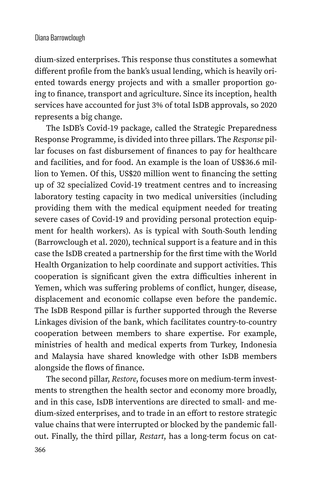#### Diana Barrowclough

dium-sized enterprises. This response thus constitutes a somewhat different profile from the bank's usual lending, which is heavily oriented towards energy projects and with a smaller proportion going to finance, transport and agriculture. Since its inception, health services have accounted for just 3% of total IsDB approvals, so 2020 represents a big change.

The IsDB's Covid-19 package, called the Strategic Preparedness Response Programme, is divided into three pillars. The *Response* pillar focuses on fast disbursement of finances to pay for healthcare and facilities, and for food. An example is the loan of US\$36.6 million to Yemen. Of this, US\$20 million went to financing the setting up of 32 specialized Covid-19 treatment centres and to increasing laboratory testing capacity in two medical universities (including providing them with the medical equipment needed for treating severe cases of Covid-19 and providing personal protection equipment for health workers). As is typical with South-South lending (Barrowclough et al. 2020), technical support is a feature and in this case the IsDB created a partnership for the first time with the World Health Organization to help coordinate and support activities. This cooperation is significant given the extra difficulties inherent in Yemen, which was suffering problems of conflict, hunger, disease, displacement and economic collapse even before the pandemic. The IsDB Respond pillar is further supported through the Reverse Linkages division of the bank, which facilitates country-to-country cooperation between members to share expertise. For example, ministries of health and medical experts from Turkey, Indonesia and Malaysia have shared knowledge with other IsDB members alongside the flows of finance.

The second pillar, *Restore*, focuses more on medium-term investments to strengthen the health sector and economy more broadly, and in this case, IsDB interventions are directed to small- and medium-sized enterprises, and to trade in an effort to restore strategic value chains that were interrupted or blocked by the pandemic fallout. Finally, the third pillar, *Restart*, has a long-term focus on cat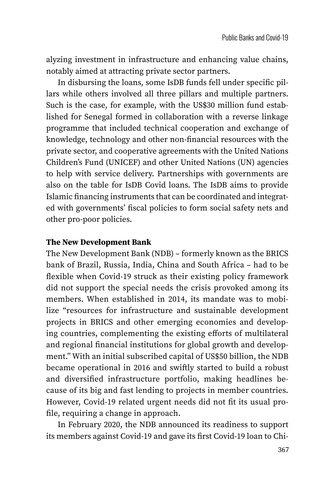alyzing investment in infrastructure and enhancing value chains, notably aimed at attracting private sector partners.

In disbursing the loans, some IsDB funds fell under specific pillars while others involved all three pillars and multiple partners. Such is the case, for example, with the US\$30 million fund established for Senegal formed in collaboration with a reverse linkage programme that included technical cooperation and exchange of knowledge, technology and other non-financial resources with the private sector, and cooperative agreements with the United Nations Children's Fund (UNICEF) and other United Nations (UN) agencies to help with service delivery. Partnerships with governments are also on the table for IsDB Covid loans. The IsDB aims to provide Islamic financing instruments that can be coordinated and integrated with governments' fiscal policies to form social safety nets and other pro-poor policies.

#### **The New Development Bank**

The New Development Bank (NDB) – formerly known as the BRICS bank of Brazil, Russia, India, China and South Africa – had to be flexible when Covid-19 struck as their existing policy framework did not support the special needs the crisis provoked among its members. When established in 2014, its mandate was to mobilize "resources for infrastructure and sustainable development projects in BRICS and other emerging economies and developing countries, complementing the existing efforts of multilateral and regional financial institutions for global growth and development." With an initial subscribed capital of US\$50 billion, the NDB became operational in 2016 and swiftly started to build a robust and diversified infrastructure portfolio, making headlines because of its big and fast lending to projects in member countries. However, Covid-19 related urgent needs did not fit its usual profile, requiring a change in approach.

In February 2020, the NDB announced its readiness to support its members against Covid-19 and gave its first Covid-19 loan to Chi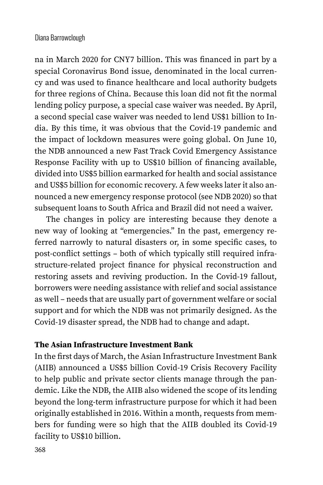na in March 2020 for CNY7 billion. This was financed in part by a special Coronavirus Bond issue, denominated in the local currency and was used to finance healthcare and local authority budgets for three regions of China. Because this loan did not fit the normal lending policy purpose, a special case waiver was needed. By April, a second special case waiver was needed to lend US\$1 billion to India. By this time, it was obvious that the Covid-19 pandemic and the impact of lockdown measures were going global. On June 10, the NDB announced a new Fast Track Covid Emergency Assistance Response Facility with up to US\$10 billion of financing available, divided into US\$5 billion earmarked for health and social assistance and US\$5 billion for economic recovery. A few weeks later it also announced a new emergency response protocol (see NDB 2020) so that subsequent loans to South Africa and Brazil did not need a waiver.

The changes in policy are interesting because they denote a new way of looking at "emergencies." In the past, emergency referred narrowly to natural disasters or, in some specific cases, to post-conflict settings – both of which typically still required infrastructure-related project finance for physical reconstruction and restoring assets and reviving production. In the Covid-19 fallout, borrowers were needing assistance with relief and social assistance as well – needs that are usually part of government welfare or social support and for which the NDB was not primarily designed. As the Covid-19 disaster spread, the NDB had to change and adapt.

#### **The Asian Infrastructure Investment Bank**

In the first days of March, the Asian Infrastructure Investment Bank (AIIB) announced a US\$5 billion Covid-19 Crisis Recovery Facility to help public and private sector clients manage through the pandemic. Like the NDB, the AIIB also widened the scope of its lending beyond the long-term infrastructure purpose for which it had been originally established in 2016. Within a month, requests from members for funding were so high that the AIIB doubled its Covid-19 facility to US\$10 billion.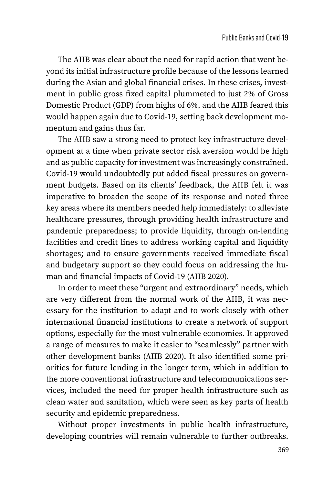The AIIB was clear about the need for rapid action that went beyond its initial infrastructure profile because of the lessons learned during the Asian and global financial crises. In these crises, investment in public gross fixed capital plummeted to just 2% of Gross Domestic Product (GDP) from highs of 6%, and the AIIB feared this would happen again due to Covid-19, setting back development momentum and gains thus far.

The AIIB saw a strong need to protect key infrastructure development at a time when private sector risk aversion would be high and as public capacity for investment was increasingly constrained. Covid-19 would undoubtedly put added fiscal pressures on government budgets. Based on its clients' feedback, the AIIB felt it was imperative to broaden the scope of its response and noted three key areas where its members needed help immediately: to alleviate healthcare pressures, through providing health infrastructure and pandemic preparedness; to provide liquidity, through on-lending facilities and credit lines to address working capital and liquidity shortages; and to ensure governments received immediate fiscal and budgetary support so they could focus on addressing the human and financial impacts of Covid-19 (AIIB 2020).

In order to meet these "urgent and extraordinary" needs, which are very different from the normal work of the AIIB, it was necessary for the institution to adapt and to work closely with other international financial institutions to create a network of support options, especially for the most vulnerable economies. It approved a range of measures to make it easier to "seamlessly" partner with other development banks (AIIB 2020). It also identified some priorities for future lending in the longer term, which in addition to the more conventional infrastructure and telecommunications services, included the need for proper health infrastructure such as clean water and sanitation, which were seen as key parts of health security and epidemic preparedness.

Without proper investments in public health infrastructure, developing countries will remain vulnerable to further outbreaks.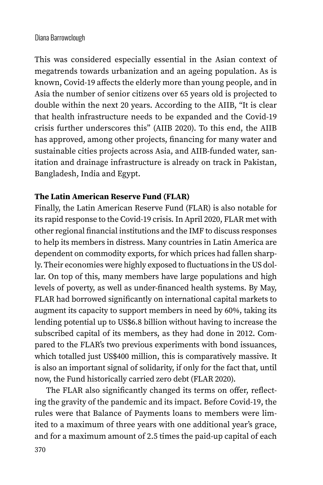This was considered especially essential in the Asian context of megatrends towards urbanization and an ageing population. As is known, Covid-19 affects the elderly more than young people, and in Asia the number of senior citizens over 65 years old is projected to double within the next 20 years. According to the AIIB, "It is clear that health infrastructure needs to be expanded and the Covid-19 crisis further underscores this" (AIIB 2020). To this end, the AIIB has approved, among other projects, financing for many water and sustainable cities projects across Asia, and AIIB-funded water, sanitation and drainage infrastructure is already on track in Pakistan, Bangladesh, India and Egypt.

#### **The Latin American Reserve Fund (FLAR)**

Finally, the Latin American Reserve Fund (FLAR) is also notable for its rapid response to the Covid-19 crisis. In April 2020, FLAR met with other regional financial institutions and the IMF to discuss responses to help its members in distress. Many countries in Latin America are dependent on commodity exports, for which prices had fallen sharply. Their economies were highly exposed to fluctuations in the US dollar. On top of this, many members have large populations and high levels of poverty, as well as under-financed health systems. By May, FLAR had borrowed significantly on international capital markets to augment its capacity to support members in need by 60%, taking its lending potential up to US\$6.8 billion without having to increase the subscribed capital of its members, as they had done in 2012. Compared to the FLAR's two previous experiments with bond issuances, which totalled just US\$400 million, this is comparatively massive. It is also an important signal of solidarity, if only for the fact that, until now, the Fund historically carried zero debt (FLAR 2020).

The FLAR also significantly changed its terms on offer, reflecting the gravity of the pandemic and its impact. Before Covid-19, the rules were that Balance of Payments loans to members were limited to a maximum of three years with one additional year's grace, and for a maximum amount of 2.5 times the paid-up capital of each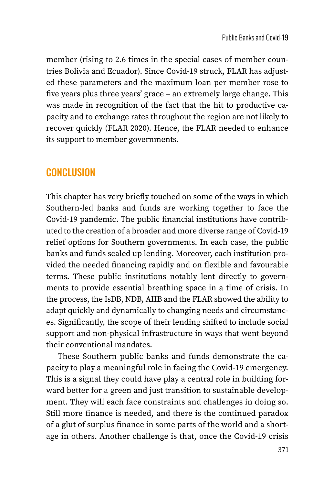member (rising to 2.6 times in the special cases of member countries Bolivia and Ecuador). Since Covid-19 struck, FLAR has adjusted these parameters and the maximum loan per member rose to five years plus three years' grace – an extremely large change. This was made in recognition of the fact that the hit to productive capacity and to exchange rates throughout the region are not likely to recover quickly (FLAR 2020). Hence, the FLAR needed to enhance its support to member governments.

### **CONCLUSION**

This chapter has very briefly touched on some of the ways in which Southern-led banks and funds are working together to face the Covid-19 pandemic. The public financial institutions have contributed to the creation of a broader and more diverse range of Covid-19 relief options for Southern governments. In each case, the public banks and funds scaled up lending. Moreover, each institution provided the needed financing rapidly and on flexible and favourable terms. These public institutions notably lent directly to governments to provide essential breathing space in a time of crisis. In the process, the IsDB, NDB, AIIB and the FLAR showed the ability to adapt quickly and dynamically to changing needs and circumstances. Significantly, the scope of their lending shifted to include social support and non-physical infrastructure in ways that went beyond their conventional mandates.

These Southern public banks and funds demonstrate the capacity to play a meaningful role in facing the Covid-19 emergency. This is a signal they could have play a central role in building forward better for a green and just transition to sustainable development. They will each face constraints and challenges in doing so. Still more finance is needed, and there is the continued paradox of a glut of surplus finance in some parts of the world and a shortage in others. Another challenge is that, once the Covid-19 crisis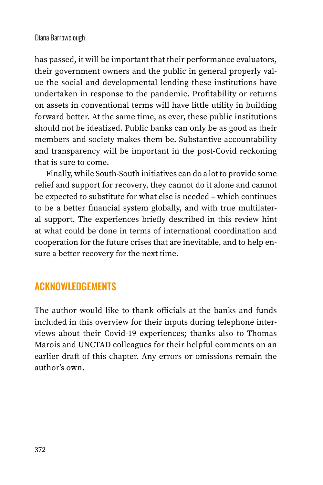has passed, it will be important that their performance evaluators, their government owners and the public in general properly value the social and developmental lending these institutions have undertaken in response to the pandemic. Profitability or returns on assets in conventional terms will have little utility in building forward better. At the same time, as ever, these public institutions should not be idealized. Public banks can only be as good as their members and society makes them be. Substantive accountability and transparency will be important in the post-Covid reckoning that is sure to come.

Finally, while South-South initiatives can do a lot to provide some relief and support for recovery, they cannot do it alone and cannot be expected to substitute for what else is needed – which continues to be a better financial system globally, and with true multilateral support. The experiences briefly described in this review hint at what could be done in terms of international coordination and cooperation for the future crises that are inevitable, and to help ensure a better recovery for the next time.

## ACKNOWLEDGEMENTS

The author would like to thank officials at the banks and funds included in this overview for their inputs during telephone interviews about their Covid-19 experiences; thanks also to Thomas Marois and UNCTAD colleagues for their helpful comments on an earlier draft of this chapter. Any errors or omissions remain the author's own.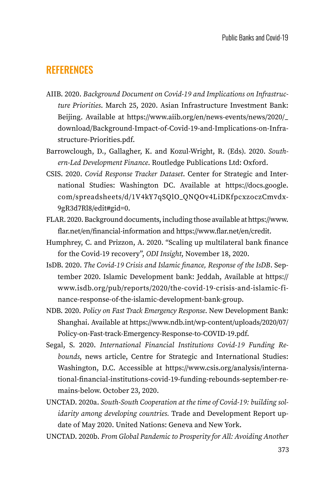### **REFERENCES**

- AIIB. 2020. *Background Document on Covid-19 and Implications on Infrastructure Priorities*. March 25, 2020. Asian Infrastructure Investment Bank: Beijing. Available at [https://www.aiib.org/en/news-events/news/2020/\\_](https://www.aiib.org/en/news-events/news/2020/_download/Background-Impact-of-Covid-19-and-Implications-on-Infrastructure-Priorities.pdf) [download/Background-Impact-of-Covid-19-and-Implications-on-Infra](https://www.aiib.org/en/news-events/news/2020/_download/Background-Impact-of-Covid-19-and-Implications-on-Infrastructure-Priorities.pdf)[structure-Priorities.pdf](https://www.aiib.org/en/news-events/news/2020/_download/Background-Impact-of-Covid-19-and-Implications-on-Infrastructure-Priorities.pdf).
- Barrowclough, D., Gallagher, K. and Kozul-Wright, R. (Eds). 2020. *Southern-Led Development Finance*. Routledge Publications Ltd: Oxford.
- CSIS. 2020. *Covid Response Tracker Dataset*. Center for Strategic and International Studies: Washington DC. Available at https://docs.google. com/spreadsheets/d/1V4kY7qSQlO\_QNQOv4LiDKfpcxzoczCmvdx-9gR3d7Rl8/edit#gid=0.
- FLAR. 2020. Background documents, including those available at [https://www.](https://www.flar.net/en/financial-information) [flar.net/en/financial-information](https://www.flar.net/en/financial-information) and <https://www.flar.net/en/credit>.
- Humphrey, C. and Prizzon, A. 2020. "Scaling up multilateral bank finance for the Covid-19 recovery", *ODI Insight*, November 18, 2020.
- IsDB. 2020. *The Covid-19 Crisis and Islamic finance, Response of the IsDB*. September 2020. Islamic Development bank: Jeddah, Available at [https://](https://www.isdb.org/pub/reports/2020/the-covid-19-crisis-and-islamic-finance-response-of-the-islamic-development-bank-group) [www.isdb.org/pub/reports/2020/the-covid-19-crisis-and-islamic-fi](https://www.isdb.org/pub/reports/2020/the-covid-19-crisis-and-islamic-finance-response-of-the-islamic-development-bank-group)[nance-response-of-the-islamic-development-bank-group.](https://www.isdb.org/pub/reports/2020/the-covid-19-crisis-and-islamic-finance-response-of-the-islamic-development-bank-group)
- NDB. 2020. *Policy on Fast Track Emergency Response*. New Development Bank: Shanghai. Available at [https://www.ndb.int/wp-content/uploads/2020/07/](https://www.ndb.int/wp-content/uploads/2020/07/Policy-on-Fast-track-Emergency-Response-to-COVID-19.pdf) [Policy-on-Fast-track-Emergency-Response-to-COVID-19.pdf](https://www.ndb.int/wp-content/uploads/2020/07/Policy-on-Fast-track-Emergency-Response-to-COVID-19.pdf).
- Segal, S. 2020. *International Financial Institutions Covid-19 Funding Rebounds*, news article, Centre for Strategic and International Studies: Washington, D.C. Accessible at [https://www.csis.org/analysis/interna](https://www.csis.org/analysis/international-financial-institutions-covid-19-funding-rebounds-september-remains-below)[tional-financial-institutions-covid-19-funding-rebounds-september-re](https://www.csis.org/analysis/international-financial-institutions-covid-19-funding-rebounds-september-remains-below)[mains-below.](https://www.csis.org/analysis/international-financial-institutions-covid-19-funding-rebounds-september-remains-below) October 23, 2020.
- UNCTAD. 2020a. *South-South Cooperation at the time of Covid-19: building solidarity among developing countries.* Trade and Development Report update of May 2020. United Nations: Geneva and New York.
- UNCTAD. 2020b. *From Global Pandemic to Prosperity for All: Avoiding Another*